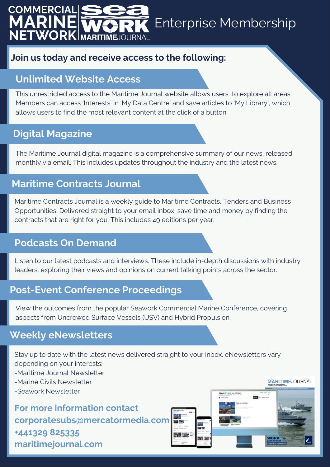### **COMMERCIAL** RI Enterprise Membership NETWORK MARITIMEJOURNAL

### **Join us today and receive access to the following:**

## **Unlimited Website Access**

This unrestricted access to the Maritime Journal website allows users to explore all areas. Members can access 'Interests' in 'My Data Centre' and save articles to 'My Library', which allows users to find the most relevant content at the click of a button.

# **Digital Magazine**

The Maritime Journal digital magazine is a comprehensive summary of our news, released monthly via email. This includes updates throughout the industry and the latest news.

## **Maritime Contracts Journal**

Maritime Contracts Journal is a weekly guide to Maritime Contracts, Tenders and Business Opportunities. Delivered straight to your email inbox, save time and money by finding the contracts that are right for you. This includes 49 editions per year.

### **Podcasts On Demand**

Listen to our latest podcasts and interviews. These include in-depth discussions with industry leaders, exploring their views and opinions on current talking points across the sector.

## **Post-Event Conference Proceedings**

View the outcomes from the popular Seawork Commercial Marine Conference, covering aspects from Uncrewed Surface Vessels (USV) and Hybrid Propulsion.

## **Weekly eNewsletters**

Stay up to date with the latest news delivered straight to your inbox. eNewsletters vary depending on your interests:

- -Maritime Journal Newsletter
- -Marine Civils Newsletter
- -Seawork Newsletter

**For more information contact corporatesubs@mercatormedia.com +441329 825335 maritimejournal.com**



**MÄRITIMEJOURNAL**